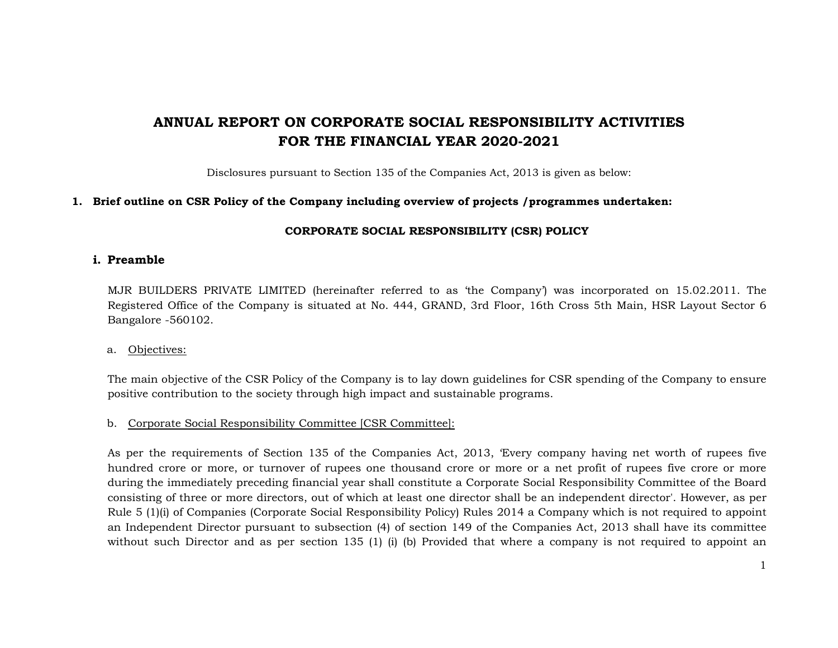# **ANNUAL REPORT ON CORPORATE SOCIAL RESPONSIBILITY ACTIVITIES FOR THE FINANCIAL YEAR 2020-2021**

Disclosures pursuant to Section 135 of the Companies Act, 2013 is given as below:

### **1. Brief outline on CSR Policy of the Company including overview of projects /programmes undertaken:**

#### **CORPORATE SOCIAL RESPONSIBILITY (CSR) POLICY**

#### **i. Preamble**

MJR BUILDERS PRIVATE LIMITED (hereinafter referred to as 'the Company') was incorporated on 15.02.2011. The Registered Office of the Company is situated at No. 444, GRAND, 3rd Floor, 16th Cross 5th Main, HSR Layout Sector 6 Bangalore -560102.

#### a. <u>Objectives:</u>

The main objective of the CSR Policy of the Company is to lay down guidelines for CSR spending of the Company to ensure positive contribution to the society through high impact and sustainable programs.

## b. Corporate Social Responsibility Committee [CSR Committee]:

As per the requirements of Section 135 of the Companies Act, 2013, 'Every company having net worth of rupees five hundred crore or more, or turnover of rupees one thousand crore or more or a net profit of rupees five crore or more during the immediately preceding financial year shall constitute a Corporate Social Responsibility Committee of the Board consisting of three or more directors, out of which at least one director shall be an independent director'. However, as per Rule 5 (1)(i) of Companies (Corporate Social Responsibility Policy) Rules 2014 a Company which is not required to appoint an Independent Director pursuant to subsection (4) of section 149 of the Companies Act, 2013 shall have its committee without such Director and as per section 135 (1) (i) (b) Provided that where a company is not required to appoint an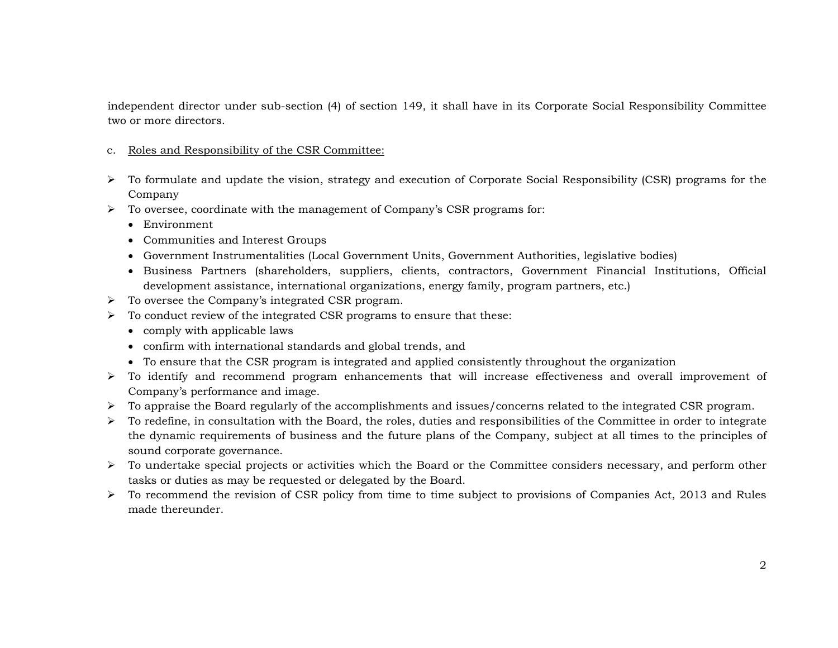independent director under sub-section (4) of section 149, it shall have in its Corporate Social Responsibility Committee two or more directors.

#### c. Roles and Responsibility of the CSR Committee:

- To formulate and update the vision, strategy and execution of Corporate Social Responsibility (CSR) programs for the Company
- $\triangleright$  To oversee, coordinate with the management of Company's CSR programs for:
	- Environment
	- Communities and Interest Groups
	- Government Instrumentalities (Local Government Units, Government Authorities, legislative bodies)
	- Business Partners (shareholders, suppliers, clients, contractors, Government Financial Institutions, Official development assistance, international organizations, energy family, program partners, etc.)
- To oversee the Company's integrated CSR program.
- $\triangleright$  To conduct review of the integrated CSR programs to ensure that these:
	- comply with applicable laws
	- confirm with international standards and global trends, and
	- To ensure that the CSR program is integrated and applied consistently throughout the organization
- To identify and recommend program enhancements that will increase effectiveness and overall improvement of Company's performance and image.
- To appraise the Board regularly of the accomplishments and issues/concerns related to the integrated CSR program.
- $\triangleright$  To redefine, in consultation with the Board, the roles, duties and responsibilities of the Committee in order to integrate the dynamic requirements of business and the future plans of the Company, subject at all times to the principles of sound corporate governance.
- To undertake special projects or activities which the Board or the Committee considers necessary, and perform other tasks or duties as may be requested or delegated by the Board.
- $\triangleright$  To recommend the revision of CSR policy from time to time subject to provisions of Companies Act, 2013 and Rules made thereunder.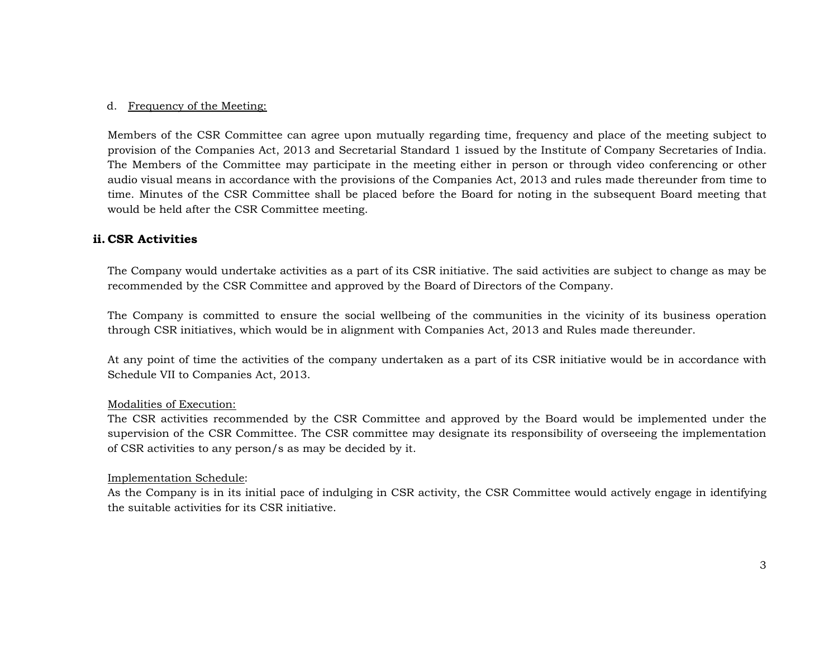#### d. <u>Frequency of the Meeting:</u>

Members of the CSR Committee can agree upon mutually regarding time, frequency and place of the meeting subject to provision of the Companies Act, 2013 and Secretarial Standard 1 issued by the Institute of Company Secretaries of India. The Members of the Committee may participate in the meeting either in person or through video conferencing or other audio visual means in accordance with the provisions of the Companies Act, 2013 and rules made thereunder from time to time. Minutes of the CSR Committee shall be placed before the Board for noting in the subsequent Board meeting that would be held after the CSR Committee meeting.

## **ii. CSR Activities**

The Company would undertake activities as a part of its CSR initiative. The said activities are subject to change as may be recommended by the CSR Committee and approved by the Board of Directors of the Company.

The Company is committed to ensure the social wellbeing of the communities in the vicinity of its business operation through CSR initiatives, which would be in alignment with Companies Act, 2013 and Rules made thereunder.

At any point of time the activities of the company undertaken as a part of its CSR initiative would be in accordance with Schedule VII to Companies Act, 2013.

#### Modalities of Execution:

The CSR activities recommended by the CSR Committee and approved by the Board would be implemented under the supervision of the CSR Committee. The CSR committee may designate its responsibility of overseeing the implementation of CSR activities to any person/s as may be decided by it.

#### Implementation Schedule:

As the Company is in its initial pace of indulging in CSR activity, the CSR Committee would actively engage in identifying the suitable activities for its CSR initiative.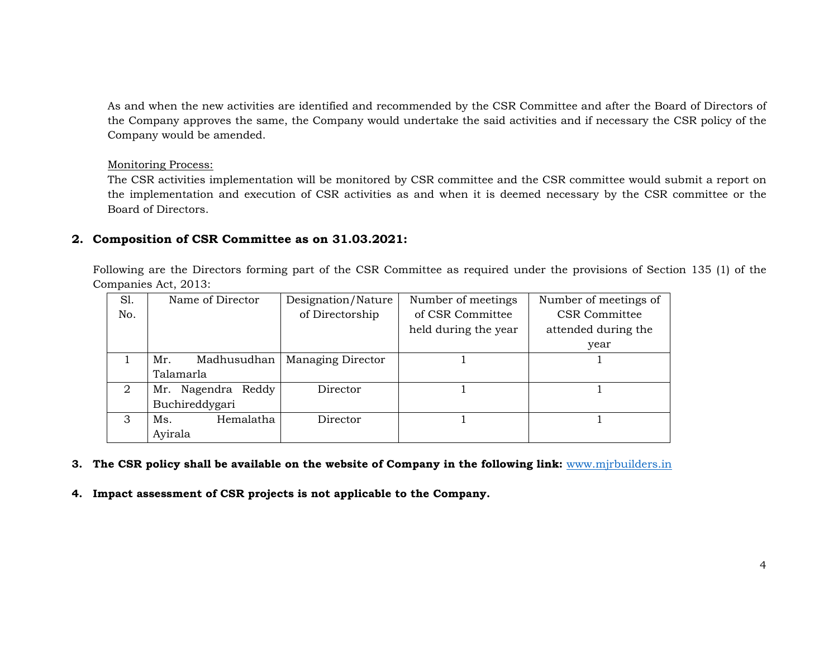As and when the new activities are identified and recommended by the CSR Committee and after the Board of Directors of the Company approves the same, the Company would undertake the said activities and if necessary the CSR policy of the Company would be amended.

#### Monitoring Process:

The CSR activities implementation will be monitored by CSR committee and the CSR committee would submit a report on the implementation and execution of CSR activities as and when it is deemed necessary by the CSR committee or the Board of Directors.

# **2. Composition of CSR Committee as on 31.03.2021:**

Following are the Directors forming part of the CSR Committee as required under the provisions of Section 135 (1) of the Companies Act, 2013:

| S1. | Name of Director   | Designation/Nature       | Number of meetings   | Number of meetings of |
|-----|--------------------|--------------------------|----------------------|-----------------------|
| No. |                    | of Directorship          | of CSR Committee     | <b>CSR</b> Committee  |
|     |                    |                          | held during the year | attended during the   |
|     |                    |                          |                      | year                  |
|     | Mr.<br>Madhusudhan | <b>Managing Director</b> |                      |                       |
|     | Talamarla          |                          |                      |                       |
| 2   | Mr. Nagendra Reddy | Director                 |                      |                       |
|     | Buchireddygari     |                          |                      |                       |
| 3   | Hemalatha<br>Ms.   | Director                 |                      |                       |
|     | Ayirala            |                          |                      |                       |

- **3. The CSR policy shall be available on the website of Company in the following link:** www.mjrbuilders.in
- **4. Impact assessment of CSR projects is not applicable to the Company.**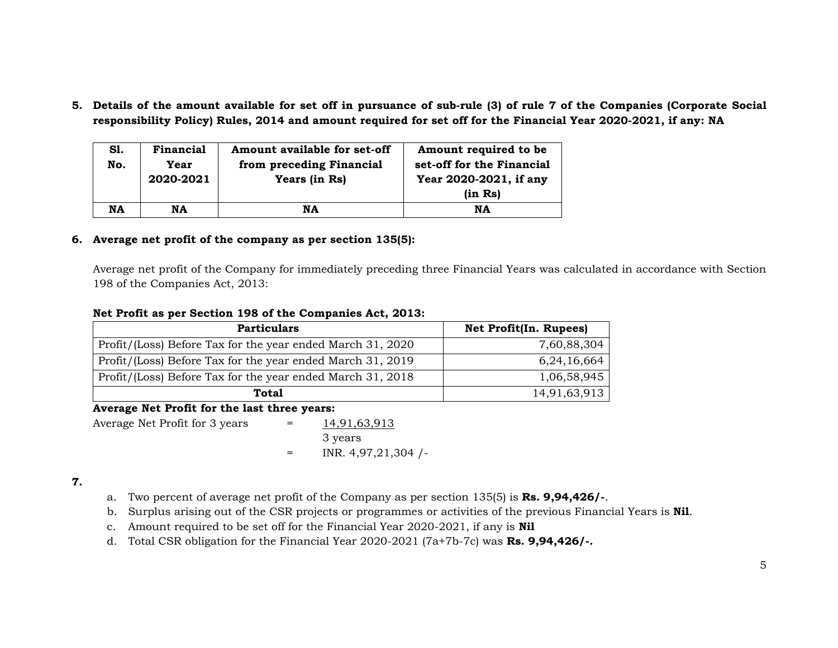**5. Details of the amount available for set off in pursuance of sub-rule (3) of rule 7 of the Companies (Corporate Social responsibility Policy) Rules, 2014 and amount required for set off for the Financial Year 2020-2021, if any: NA** 

| S1.<br>No. | Financial<br>Year<br>2020-2021 | Amount available for set-off<br>from preceding Financial<br>Years (in Rs) | Amount required to be<br>set-off for the Financial<br>Year 2020-2021, if any<br>(in Rs) |
|------------|--------------------------------|---------------------------------------------------------------------------|-----------------------------------------------------------------------------------------|
| <b>NA</b>  | NA                             | NA                                                                        | NA                                                                                      |

## **6. Average net profit of the company as per section 135(5):**

Average net profit of the Company for immediately preceding three Financial Years was calculated in accordance with Section 198 of the Companies Act, 2013:

#### **Net Profit as per Section 198 of the Companies Act, 2013:**

| <b>Particulars</b>                                         | Net Profit(In. Rupees) |
|------------------------------------------------------------|------------------------|
| Profit/(Loss) Before Tax for the year ended March 31, 2020 | 7,60,88,304            |
| Profit/(Loss) Before Tax for the year ended March 31, 2019 | 6,24,16,664            |
| Profit/(Loss) Before Tax for the year ended March 31, 2018 | 1,06,58,945            |
| Total                                                      | 14,91,63,913           |

# **Average Net Profit for the last three years:**

Average Net Profit for  $3 \text{ years}$  = 14,91,63,913 3 years

 $=$  INR. 4,97,21,304 /-

## **7.**

- a. Two percent of average net profit of the Company as per section 135(5) is **Rs. 9,94,426/-**.
- b. Surplus arising out of the CSR projects or programmes or activities of the previous Financial Years is **Nil**.
- c. Amount required to be set off for the Financial Year 2020-2021, if any is **Nil**
- d. Total CSR obligation for the Financial Year 2020-2021 (7a+7b-7c) was **Rs. 9,94,426/-.**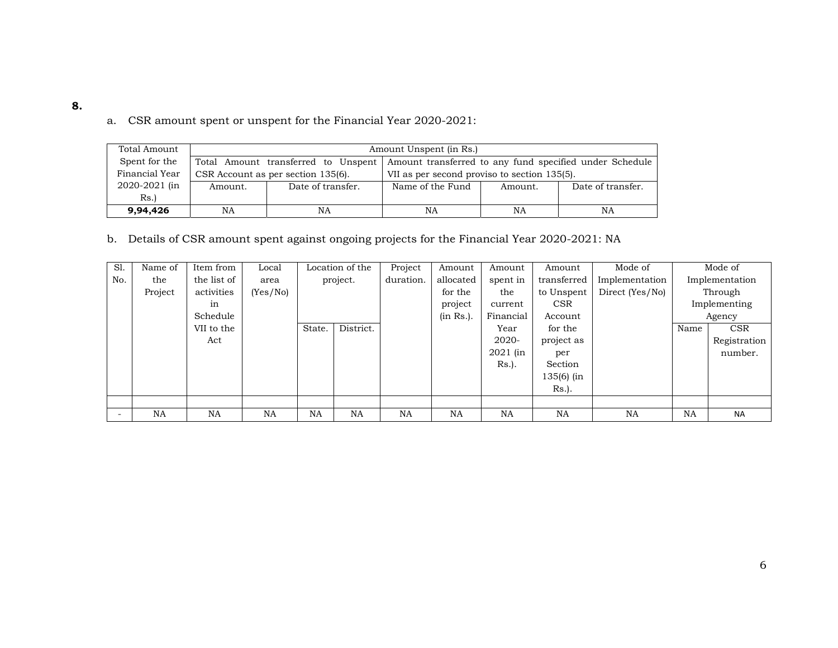| Total Amount   | Amount Unspent (in Rs.) |                                     |                                                         |         |                   |  |  |
|----------------|-------------------------|-------------------------------------|---------------------------------------------------------|---------|-------------------|--|--|
| Spent for the  |                         | Total Amount transferred to Unspent | Amount transferred to any fund specified under Schedule |         |                   |  |  |
| Financial Year |                         | CSR Account as per section 135(6).  | VII as per second proviso to section 135(5).            |         |                   |  |  |
| 2020-2021 (in  | Amount.                 | Date of transfer.                   | Name of the Fund                                        | Amount. | Date of transfer. |  |  |
| Rs.            |                         |                                     |                                                         |         |                   |  |  |
| 9,94,426<br>NA |                         | NA                                  | NA                                                      | NA      | NA                |  |  |

a. CSR amount spent or unspent for the Financial Year 2020-2021:

b. Details of CSR amount spent against ongoing projects for the Financial Year 2020-2021: NA

| Sl. | Name of   | Item from   | Local     |           | Location of the | Project   | Amount    | Amount    | Amount       | Mode of         |           | Mode of        |
|-----|-----------|-------------|-----------|-----------|-----------------|-----------|-----------|-----------|--------------|-----------------|-----------|----------------|
| No. | the       | the list of | area      |           | project.        | duration. | allocated | spent in  | transferred  | Implementation  |           | Implementation |
|     | Project   | activities  | (Yes/No)  |           |                 |           | for the   | the       | to Unspent   | Direct (Yes/No) |           | Through        |
|     |           | in          |           |           |                 |           | project   | current   | <b>CSR</b>   |                 |           | Implementing   |
|     |           | Schedule    |           |           |                 |           | (in Rs.). | Financial | Account      |                 |           | Agency         |
|     |           | VII to the  |           | State.    | District.       |           |           | Year      | for the      |                 | Name      | <b>CSR</b>     |
|     |           | Act         |           |           |                 |           |           | $2020 -$  | project as   |                 |           | Registration   |
|     |           |             |           |           |                 |           |           | 2021 (in  | per          |                 |           | number.        |
|     |           |             |           |           |                 |           |           | $Rs.$ ).  | Section      |                 |           |                |
|     |           |             |           |           |                 |           |           |           | $135(6)$ (in |                 |           |                |
|     |           |             |           |           |                 |           |           |           | Rs.).        |                 |           |                |
|     |           |             |           |           |                 |           |           |           |              |                 |           |                |
|     | <b>NA</b> | NA          | <b>NA</b> | <b>NA</b> | <b>NA</b>       | <b>NA</b> | <b>NA</b> | <b>NA</b> | <b>NA</b>    | <b>NA</b>       | <b>NA</b> | <b>NA</b>      |

**8.**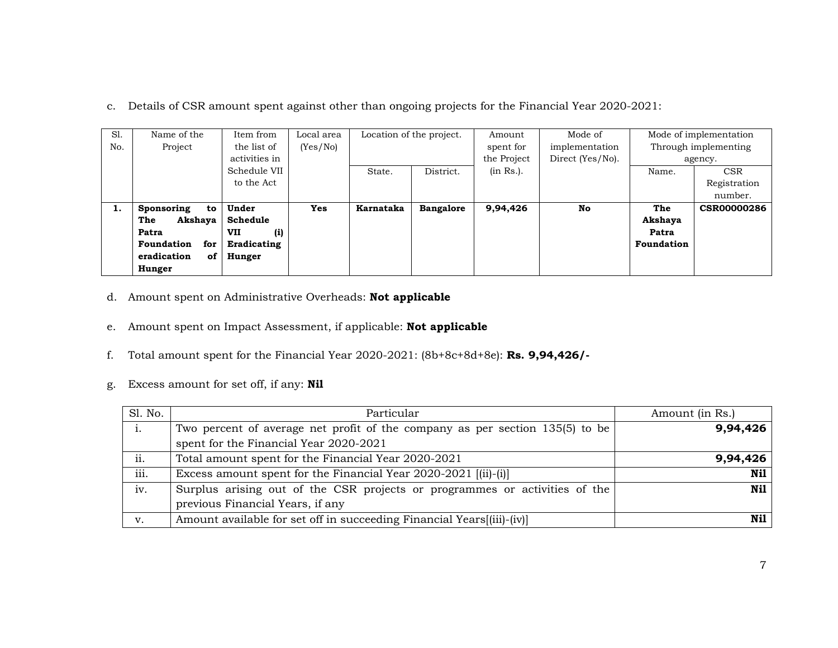c. Details of CSR amount spent against other than ongoing projects for the Financial Year 2020-2021:

| S1. | Name of the              | Item from         | Local area |           | Location of the project. |           | Mode of        | Mode of implementation |                    |  |         |
|-----|--------------------------|-------------------|------------|-----------|--------------------------|-----------|----------------|------------------------|--------------------|--|---------|
| No. | Project                  | the list of       | (Yes/No)   |           |                          | spent for | implementation | Through implementing   |                    |  |         |
|     |                          | activities in     |            |           |                          |           |                | the Project            | Direct (Yes/No).   |  | agency. |
|     |                          | Schedule VII      |            | State.    | District.                | (in Rs.). |                | Name.                  | <b>CSR</b>         |  |         |
|     |                          | to the Act        |            |           |                          |           |                |                        | Registration       |  |         |
|     |                          |                   |            |           |                          |           |                |                        | number.            |  |         |
| Ι.  | Sponsoring<br>to         | Under             | <b>Yes</b> | Karnataka | <b>Bangalore</b>         | 9,94,426  | <b>No</b>      | The                    | <b>CSR00000286</b> |  |         |
|     | The<br>Akshaya           | Schedule          |            |           |                          |           |                | Akshaya                |                    |  |         |
|     | Patra                    | <b>VII</b><br>(i) |            |           |                          |           |                | Patra                  |                    |  |         |
|     | <b>Foundation</b><br>for | Eradicating       |            |           |                          |           |                | Foundation             |                    |  |         |
|     | of<br>eradication        | Hunger            |            |           |                          |           |                |                        |                    |  |         |
|     | Hunger                   |                   |            |           |                          |           |                |                        |                    |  |         |

- d. Amount spent on Administrative Overheads: **Not applicable**
- e. Amount spent on Impact Assessment, if applicable: **Not applicable**
- f.Total amount spent for the Financial Year 2020-2021: (8b+8c+8d+8e): **Rs. 9,94,426/-**
- g. Excess amount for set off, if any: **Nil**

| Sl. No. | Particular                                                                   | Amount (in Rs.) |
|---------|------------------------------------------------------------------------------|-----------------|
| 1.      | Two percent of average net profit of the company as per section 135(5) to be | 9,94,426        |
|         | spent for the Financial Year 2020-2021                                       |                 |
| ii.     | Total amount spent for the Financial Year 2020-2021                          | 9,94,426        |
| iii.    | Excess amount spent for the Financial Year 2020-2021 [(ii)-(i)]              | Nil             |
| iv.     | Surplus arising out of the CSR projects or programmes or activities of the   | Nil             |
|         | previous Financial Years, if any                                             |                 |
| v.      | Amount available for set off in succeeding Financial Years[(iii)-(iv)]       | Nil             |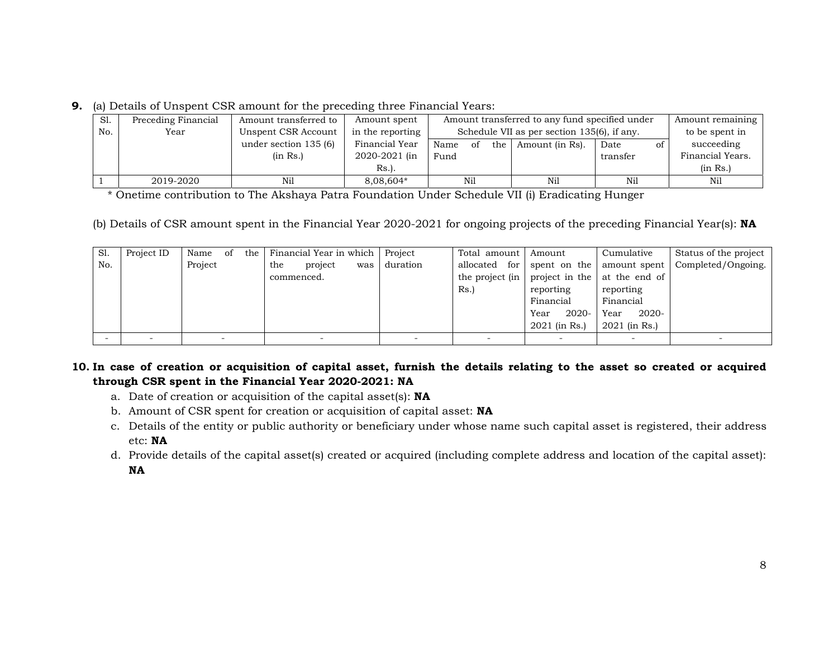**9.** (a) Details of Unspent CSR amount for the preceding three Financial Years:

| S1. | Preceding Financial | Amount transferred to  | Amount spent     |                     | Amount remaining<br>Amount transferred to any fund specified under |            |                  |  |
|-----|---------------------|------------------------|------------------|---------------------|--------------------------------------------------------------------|------------|------------------|--|
| No. | Year                | Unspent CSR Account    | in the reporting |                     | Schedule VII as per section 135(6), if any.                        |            |                  |  |
|     |                     | under section $135(6)$ | Financial Year   | Name<br>the 1<br>of | Amount (in Rs).                                                    | Date<br>οf | succeeding       |  |
|     |                     | (in Rs.)               | 2020-2021 (in    | Fund                |                                                                    | transfer   | Financial Years. |  |
|     |                     |                        | $Rs.$ ).         |                     |                                                                    |            | (in Rs.)         |  |
|     | 2019-2020           | Nil                    | 8,08,604*        | Nil                 | Nil                                                                | Nil        | Nil              |  |

\* Onetime contribution to The Akshaya Patra Foundation Under Schedule VII (i) Eradicating Hunger

(b) Details of CSR amount spent in the Financial Year 2020-2021 for ongoing projects of the preceding Financial Year(s): **NA** 

| S1. | Project ID | Name<br>the 1<br>of | Financial Year in which Project |          | Total amount     | Amount           | Cumulative    | Status of the project |
|-----|------------|---------------------|---------------------------------|----------|------------------|------------------|---------------|-----------------------|
| No. |            | Project             | the<br>project<br>was           | duration | for<br>allocated | spent on the     | amount spent  | Completed/Ongoing.    |
|     |            |                     | commenced.                      |          | the project (in  | project in the   | at the end of |                       |
|     |            |                     |                                 |          | Rs.              | reporting        | reporting     |                       |
|     |            |                     |                                 |          |                  | Financial        | Financial     |                       |
|     |            |                     |                                 |          |                  | $2020 -$<br>Year | 2020-<br>Year |                       |
|     |            |                     |                                 |          |                  | 2021 (in Rs.)    | 2021 (in Rs.) |                       |
|     |            |                     |                                 |          |                  |                  |               |                       |

# **10. In case of creation or acquisition of capital asset, furnish the details relating to the asset so created or acquired through CSR spent in the Financial Year 2020-2021: NA**

- a. Date of creation or acquisition of the capital asset(s): **NA**
- b. Amount of CSR spent for creation or acquisition of capital asset: **NA**
- c. Details of the entity or public authority or beneficiary under whose name such capital asset is registered, their address etc: **NA**
- d. Provide details of the capital asset(s) created or acquired (including complete address and location of the capital asset): **NA**